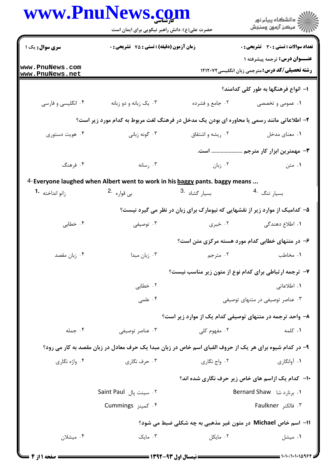|                                    | www.PnuNews.com                                                                                         |                           |                                                                                      |  |
|------------------------------------|---------------------------------------------------------------------------------------------------------|---------------------------|--------------------------------------------------------------------------------------|--|
|                                    | حضرت علی(ع): دانش راهبر نیکویی برای ایمان است                                                           |                           |                                                                                      |  |
| سری سوال: یک ۱                     | زمان آزمون (دقیقه) : تستی : 75 ٪ تشریحی : 0                                                             |                           | <b>تعداد سوالات : تستی : 30 ٪ تشریحی : 0</b><br><b>عنـــوان درس:</b> ترجمه پیشرفته ۱ |  |
| www.PnuNews.com<br>www.PnuNews.net |                                                                                                         |                           | <b>رشته تحصیلی/کد درس:</b> مترجمی زبان انگلیسی1۲۱۲۰۷۲                                |  |
|                                    |                                                                                                         |                           | ا– انواع فرهنگها به طور کلی کدامند؟                                                  |  |
| ۰۴ انگلیسی و فارسی                 | ۰۳ یک زبانه و دو زبانه                                                                                  | ۰۲ جامع و فشرده           | ۱. عمومی و تخصصی                                                                     |  |
|                                    | ۲– اطلاعاتی مانند رسمی یا محاوره ای بودن یک مدخل در فرهنگ لغت مربوط به کدام مورد زیر است؟               |                           |                                                                                      |  |
| ۰۴ هويت دستوري                     | ۰۳ گونه زبانی                                                                                           | ۰۲ ریشه و اشتقاق          | ٠١. معناي مدخل                                                                       |  |
|                                    |                                                                                                         |                           | ۳- مهمترین ابزار کار مترجم  است.                                                     |  |
| ۰۴ فرهنگ                           | ۰۳ رسانه                                                                                                | ۰۲ زبان                   | ۰۱ متن                                                                               |  |
|                                    | 4- Everyone laughed when Albert went to work in his baggy pants. baggy means                            |                           |                                                                                      |  |
| زانو انداخته  •1                   |                                                                                                         |                           | بسيار تنگ <sup>.4</sup>                                                              |  |
|                                    |                                                                                                         |                           | ۵– کدامیک از موارد زیر از نقشهایی که نیومارک برای زبان در نظر می گیرد نیست؟          |  |
| ۰۴ خطابی                           | ۰۳ توصیفی                                                                                               | ۰۲ خبری                   | ۱. اطلاع دهندگی                                                                      |  |
|                                    | ۶– در متنهای خطابی کدام مورد هسته مرکزی متن است؟                                                        |                           |                                                                                      |  |
| ۰۴ زبان مقصد                       | ۰۳ زبان مبدا                                                                                            | ۰۲ مترجم                  | ۰۱ مخاطب                                                                             |  |
|                                    | ۷- ترجمه ارتباطی برای کدام نوع از متون زیر مناسب نیست؟                                                  |                           |                                                                                      |  |
|                                    | ۰۲ خطابی                                                                                                |                           | ۰۱ اطلاعاتی                                                                          |  |
|                                    | ۰۴ علمی                                                                                                 |                           | ۰۳ عناصر توصیفی در متنهای توصیفی                                                     |  |
|                                    |                                                                                                         |                           | ۸– واحد ترجمه در متنهای توصیفی کدام یک از موارد زیر است؟                             |  |
| ۰۴ جمله                            | ۰۳ عناصر توصيفي                                                                                         | ۰۲ مفهوم کلی              | ٠١. كلمه                                                                             |  |
|                                    | ۹- در کدام شیوه برای هر یک از حروف الفبای اسم خاص در زبان مبدا یک حرف معادل در زبان مقصد به کار می رود؟ |                           |                                                                                      |  |
| ۰۴ واژه نگاری                      | ۰۳ حرف نگاری                                                                                            | ۰۲ واج نگاری              | ۰۱ آوانگاری                                                                          |  |
|                                    | <b>۱۰</b> - کدام یک ازاسم های خاص زیر حرف نگاری شده اند؟                                                |                           |                                                                                      |  |
|                                    | ۰۲ سینت پال Saint Paul                                                                                  | 1. برنارد شا Bernard Shaw |                                                                                      |  |
|                                    | ۰۴ کمینز Cummings                                                                                       |                           | ۰۳ فالکنر Faulkner                                                                   |  |
|                                    |                                                                                                         |                           | 11- اسم خاص Michael در متون غیر مذهبی به چه شکلی ضبط می شود؟                         |  |
| ۰۴ میشلان                          | ۰۳ مایک                                                                                                 | ۰۲ مایکل                  | ۰۱ میشل                                                                              |  |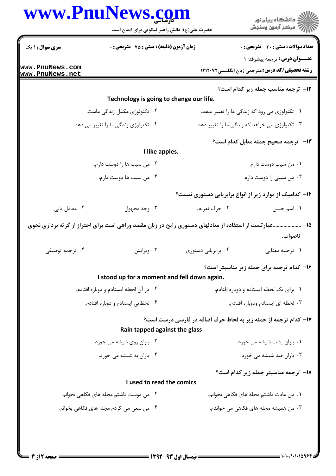|                                        | حضرت علی(ع): دانش راهبر نیکویی برای ایمان است                                                         | www.PnuNews.com                                                 | ڪ دانشڪاه پيا <sub>م</sub> نور<br>ر <i>7</i> مرڪز آزمون وسنڊش                                 |
|----------------------------------------|-------------------------------------------------------------------------------------------------------|-----------------------------------------------------------------|-----------------------------------------------------------------------------------------------|
| <b>سری سوال : ۱ یک</b>                 | <b>زمان آزمون (دقیقه) : تستی : 75 تشریحی : 0</b>                                                      |                                                                 | <b>تعداد سوالات : تستی : 30 ٪ تشریحی : 0</b>                                                  |
| www.PnuNews.com<br>www.PnuNews.net     |                                                                                                       |                                                                 | <b>عنــوان درس:</b> ترجمه پیشرفته ۱<br><b>رشته تحصیلی/کد درس:</b> مترجمی زبان انگلیسی ۱۲۱۲۰۷۲ |
|                                        |                                                                                                       |                                                                 | <b>۱۲</b> - ترجمه مناسب جمله زیر کدام است؟                                                    |
|                                        | Technology is going to change our life.                                                               |                                                                 |                                                                                               |
|                                        | ۲. تکنولوژی مکمل زندگی ماست.                                                                          |                                                                 | ۰۱ تکنولوژی می رود که زندگی ما را تغییر بدهد.                                                 |
|                                        | ۰۴ تکنولوژی زندگی ما را تغییر می دهد.                                                                 |                                                                 | ۰۳ تکنولوژی می خواهد که زندگی ما را تغییر دهد.                                                |
|                                        |                                                                                                       |                                                                 | ۱۳- ترجمه صحیح جمله مقابل کدام است؟                                                           |
|                                        | I like apples.                                                                                        |                                                                 |                                                                                               |
|                                        | ۰۲ من سیب ها را دوست دارم.                                                                            |                                                                 | ٠١ من سيب دوست دارم.                                                                          |
|                                        | ۰۴ من سيب ها دوست دارم.                                                                               |                                                                 | ۰۳ من سیبی را دوست دارم.                                                                      |
|                                        |                                                                                                       | ۱۴- کدامیک از موارد زیر از انواع برابریابی دستوری نیست؟         |                                                                                               |
| ۰۴ معادل يابي                          | ۰۳ وجه مجهول                                                                                          | ۰۲ حرف تعريف                                                    | ۰۱ اسم جنس                                                                                    |
|                                        | ۱۵– عبارتست از استفاده از معادلهای دستوری رایج در زبان مقصد وراهی است برای احتراز از گرته برداری نحوی |                                                                 |                                                                                               |
|                                        |                                                                                                       |                                                                 | ناصواب.                                                                                       |
| ۰۴ ترجمه توصيفي                        | ۰۳ ویرایش                                                                                             | ۰۲ برابریابی دستوری                                             | ٠١ ترجمه معنايي                                                                               |
|                                        |                                                                                                       |                                                                 | ۱۶- کدام ترجمه برای جمله زیر مناسبتر است؟                                                     |
|                                        | I stood up for a moment and fell down again.                                                          |                                                                 |                                                                                               |
| ٠٢ در آن لحظه ايستادم و دوباره افتادم. |                                                                                                       | ۰۱ برای یک لحظه ایستادم و دوباره افتادم.                        |                                                                                               |
|                                        | ۰۴ لحظاتي ايستادم و دوباره افتادم.                                                                    |                                                                 | ۰۳ لحظه ای ایستادم ودوباره افتادم.                                                            |
|                                        | Rain tapped against the glass                                                                         | ۱۷- کدام ترجمه از جمله زیر به لحاظ حرف اضافه در فارسی درست است؟ |                                                                                               |
|                                        | ۰۲ باران روی شیشه می خورد.                                                                            |                                                                 | ۰۱ باران پشت شیشه می خورد.                                                                    |
|                                        | ۰۴ باران به شیشه می خورد.                                                                             |                                                                 | ۰۳ باران ضد شیشه می خورد.                                                                     |
|                                        |                                                                                                       |                                                                 | 18- ترجمه مناسبتر جمله زير كدام است؟                                                          |
|                                        | I used to read the comics                                                                             |                                                                 |                                                                                               |
|                                        | ۰۲ من دوست داشتم مجله های فکاهی بخوانم.                                                               |                                                                 | ٠١. من عادت داشتم مجله هاي فكاهي بخوانم.                                                      |
|                                        | ۰۴ من سعی می کردم مجله های فکاهی بخوانم.                                                              |                                                                 | ۰۳ من همیشه مجله های فکاهی می خواندم.                                                         |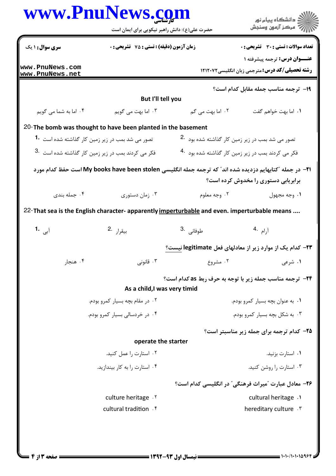|                                                               | حضرت علی(ع): دانش راهبر نیکویی برای ایمان است                                                           |                                                                  | ≦ دانشڪاه پيام نور<br>√ مرڪز آزمون وسنڊش                                                     |  |  |
|---------------------------------------------------------------|---------------------------------------------------------------------------------------------------------|------------------------------------------------------------------|----------------------------------------------------------------------------------------------|--|--|
| <b>سری سوال : ۱ یک</b>                                        | زمان آزمون (دقیقه) : تستی : 75 تشریحی : 0                                                               |                                                                  | تعداد سوالات : تستى : 30 ٪ تشريحي : 0                                                        |  |  |
| www.PnuNews.com<br>www.PnuNews.net                            |                                                                                                         |                                                                  | <b>عنــوان درس:</b> ترجمه پیشرفته ۱<br><b>رشته تحصیلی/کد درس:</b> مترجمی زبان انگلیسی۱۲۱۲۰۷۲ |  |  |
|                                                               |                                                                                                         |                                                                  | <b>۱۹</b> - ترجمه مناسب جمله مقابل کدام است؟                                                 |  |  |
|                                                               | But I'll tell you                                                                                       |                                                                  |                                                                                              |  |  |
| ۰۴ اما به شما می گویم                                         | ۰۳ اما بهت می گویم                                                                                      | ۲. اما بهت می گم                                                 | ٠١. اما بهت خواهم گفت                                                                        |  |  |
|                                                               | 20-The bomb was thought to have been planted in the basement                                            |                                                                  |                                                                                              |  |  |
| تصور می شد بمب در زیر زمین کار گذاشته شده است <sup>1</sup> ۰  |                                                                                                         |                                                                  | تصور می شد بمب در زیر زمین کار گذاشته شده بود $\cdot$ 2.                                     |  |  |
| فکر می کردند بمب در زیر زمین کار گذاشته شده است <sup>.3</sup> |                                                                                                         | فکر می کردند بمب در زیر زمین کار گذاشته شده بود <sup>.4</sup>    |                                                                                              |  |  |
|                                                               | ۲۱− در جمله ″کتابهایم دزدیده شده اند″ که ترجمه جمله انگلیسی My books have been stolen است حفظ کدام مورد |                                                                  | برابریابی دستوری را مخدوش کرده است؟                                                          |  |  |
| ۰۴ جمله بندی                                                  | ۰۳ زمان دستوري                                                                                          | ۰۲ وجه معلوم                                                     | ۰۱ وجه مجهول                                                                                 |  |  |
|                                                               | 22- That sea is the English character- apparently imperturbable and even. imperturbable means           |                                                                  |                                                                                              |  |  |
| آبی 1.                                                        | بيقرا <sub>ر</sub> .2                                                                                   | طوفان <sub>ی</sub> .3                                            | آرام .4                                                                                      |  |  |
|                                                               |                                                                                                         | ۲۳– کدام یک از موارد زیر از معادلهای فعل legitimate <u>نیست؟</u> |                                                                                              |  |  |
| ۰۲ هنجار                                                      | تا قانونی $\cdot$ ۳                                                                                     | ۰۲ مشروع                                                         | ۰۱ شرعی                                                                                      |  |  |
|                                                               | As a child, I was very timid                                                                            | <b>34-</b> ترجمه مناسب جمله زیر با توجه به حرف ربط as کدام است؟  |                                                                                              |  |  |
| ۰۲ در مقام بچه بسیار کمرو بودم.                               |                                                                                                         | ۰۱ به عنوان بچه بسیار کمرو بودم.                                 |                                                                                              |  |  |
| ۰۴ در خردسالی بسیار کمرو بودم.                                |                                                                                                         | ۰۳ به شکل بچه بسیار کمرو بودم.                                   |                                                                                              |  |  |
|                                                               |                                                                                                         |                                                                  | ۲۵- کدام ترجمه برای جمله زیر مناسبتر است؟                                                    |  |  |
|                                                               | operate the starter                                                                                     |                                                                  |                                                                                              |  |  |
|                                                               | ۰۲ استارت را عمل کنید.                                                                                  |                                                                  | ۰۱ استارت بزنید.                                                                             |  |  |
| ۰۴ استارت را به کار بیندازید.                                 |                                                                                                         | ۰۳ استارت را روشن کنید.                                          |                                                                                              |  |  |
|                                                               |                                                                                                         |                                                                  | ۲۶- معادل عبارت "میراث فرهنگی" در انگلیسی کدام است؟                                          |  |  |
| culture heritage . Y                                          |                                                                                                         |                                                                  | cultural heritage .                                                                          |  |  |
|                                                               | cultural tradition . f                                                                                  |                                                                  | hereditary culture . \v                                                                      |  |  |
|                                                               |                                                                                                         |                                                                  |                                                                                              |  |  |